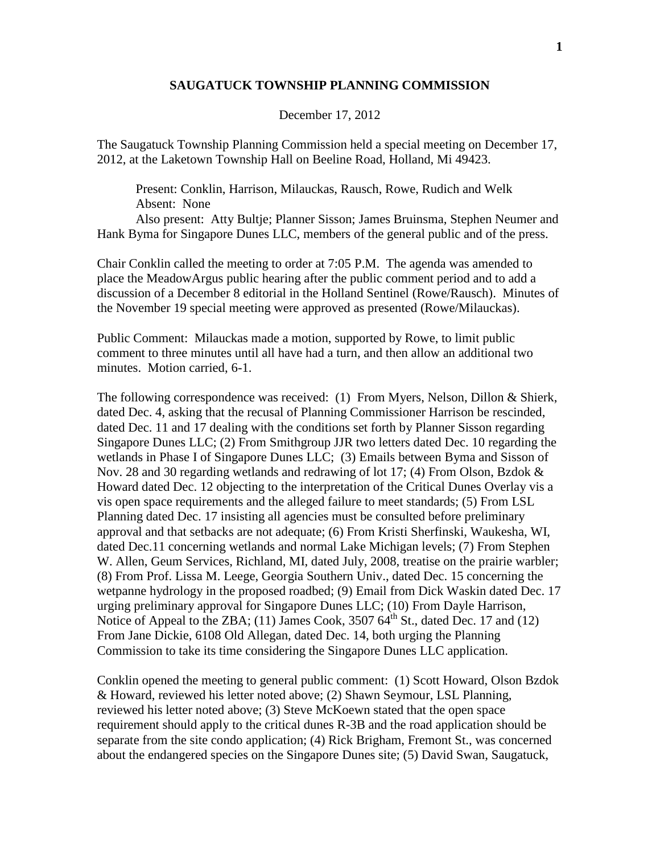## **SAUGATUCK TOWNSHIP PLANNING COMMISSION**

December 17, 2012

The Saugatuck Township Planning Commission held a special meeting on December 17, 2012, at the Laketown Township Hall on Beeline Road, Holland, Mi 49423.

Present: Conklin, Harrison, Milauckas, Rausch, Rowe, Rudich and Welk Absent: None

Also present: Atty Bultje; Planner Sisson; James Bruinsma, Stephen Neumer and Hank Byma for Singapore Dunes LLC, members of the general public and of the press.

Chair Conklin called the meeting to order at 7:05 P.M. The agenda was amended to place the MeadowArgus public hearing after the public comment period and to add a discussion of a December 8 editorial in the Holland Sentinel (Rowe/Rausch). Minutes of the November 19 special meeting were approved as presented (Rowe/Milauckas).

Public Comment: Milauckas made a motion, supported by Rowe, to limit public comment to three minutes until all have had a turn, and then allow an additional two minutes. Motion carried, 6-1.

The following correspondence was received: (1) From Myers, Nelson, Dillon & Shierk, dated Dec. 4, asking that the recusal of Planning Commissioner Harrison be rescinded, dated Dec. 11 and 17 dealing with the conditions set forth by Planner Sisson regarding Singapore Dunes LLC; (2) From Smithgroup JJR two letters dated Dec. 10 regarding the wetlands in Phase I of Singapore Dunes LLC; (3) Emails between Byma and Sisson of Nov. 28 and 30 regarding wetlands and redrawing of lot 17; (4) From Olson, Bzdok  $\&$ Howard dated Dec. 12 objecting to the interpretation of the Critical Dunes Overlay vis a vis open space requirements and the alleged failure to meet standards; (5) From LSL Planning dated Dec. 17 insisting all agencies must be consulted before preliminary approval and that setbacks are not adequate; (6) From Kristi Sherfinski, Waukesha, WI, dated Dec.11 concerning wetlands and normal Lake Michigan levels; (7) From Stephen W. Allen, Geum Services, Richland, MI, dated July, 2008, treatise on the prairie warbler; (8) From Prof. Lissa M. Leege, Georgia Southern Univ., dated Dec. 15 concerning the wetpanne hydrology in the proposed roadbed; (9) Email from Dick Waskin dated Dec. 17 urging preliminary approval for Singapore Dunes LLC; (10) From Dayle Harrison, Notice of Appeal to the ZBA; (11) James Cook,  $3507\,64^{\text{th}}$  St., dated Dec. 17 and (12) From Jane Dickie, 6108 Old Allegan, dated Dec. 14, both urging the Planning Commission to take its time considering the Singapore Dunes LLC application.

Conklin opened the meeting to general public comment: (1) Scott Howard, Olson Bzdok & Howard, reviewed his letter noted above; (2) Shawn Seymour, LSL Planning, reviewed his letter noted above; (3) Steve McKoewn stated that the open space requirement should apply to the critical dunes R-3B and the road application should be separate from the site condo application; (4) Rick Brigham, Fremont St., was concerned about the endangered species on the Singapore Dunes site; (5) David Swan, Saugatuck,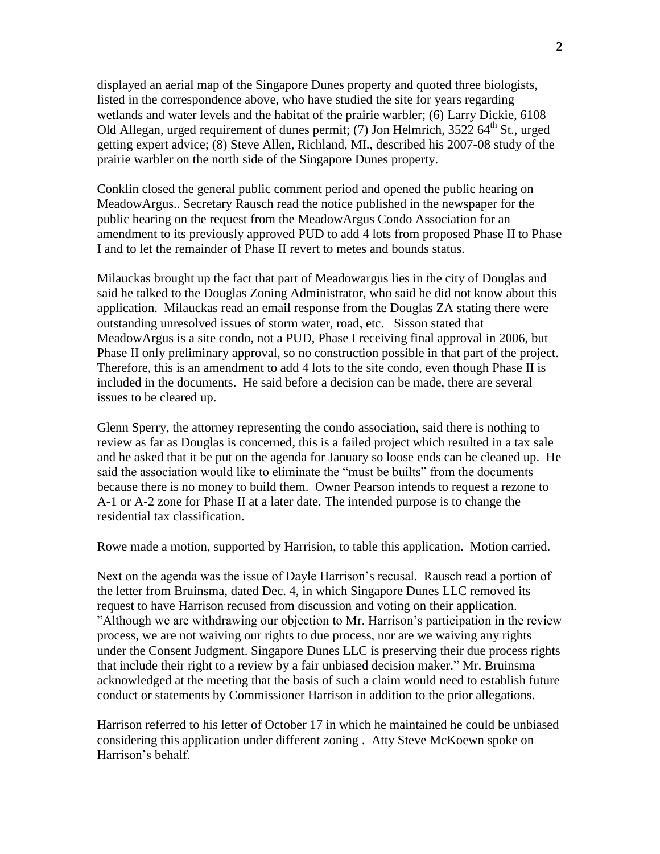displayed an aerial map of the Singapore Dunes property and quoted three biologists, listed in the correspondence above, who have studied the site for years regarding wetlands and water levels and the habitat of the prairie warbler; (6) Larry Dickie, 6108 Old Allegan, urged requirement of dunes permit; (7) Jon Helmrich,  $3522.64<sup>th</sup>$  St., urged getting expert advice; (8) Steve Allen, Richland, MI., described his 2007-08 study of the prairie warbler on the north side of the Singapore Dunes property.

Conklin closed the general public comment period and opened the public hearing on MeadowArgus.. Secretary Rausch read the notice published in the newspaper for the public hearing on the request from the MeadowArgus Condo Association for an amendment to its previously approved PUD to add 4 lots from proposed Phase II to Phase I and to let the remainder of Phase II revert to metes and bounds status.

Milauckas brought up the fact that part of Meadowargus lies in the city of Douglas and said he talked to the Douglas Zoning Administrator, who said he did not know about this application. Milauckas read an email response from the Douglas ZA stating there were outstanding unresolved issues of storm water, road, etc. Sisson stated that MeadowArgus is a site condo, not a PUD, Phase I receiving final approval in 2006, but Phase II only preliminary approval, so no construction possible in that part of the project. Therefore, this is an amendment to add 4 lots to the site condo, even though Phase II is included in the documents. He said before a decision can be made, there are several issues to be cleared up.

Glenn Sperry, the attorney representing the condo association, said there is nothing to review as far as Douglas is concerned, this is a failed project which resulted in a tax sale and he asked that it be put on the agenda for January so loose ends can be cleaned up. He said the association would like to eliminate the "must be builts" from the documents because there is no money to build them. Owner Pearson intends to request a rezone to A-1 or A-2 zone for Phase II at a later date. The intended purpose is to change the residential tax classification.

Rowe made a motion, supported by Harrision, to table this application. Motion carried.

Next on the agenda was the issue of Dayle Harrison's recusal. Rausch read a portion of the letter from Bruinsma, dated Dec. 4, in which Singapore Dunes LLC removed its request to have Harrison recused from discussion and voting on their application. "Although we are withdrawing our objection to Mr. Harrison's participation in the review process, we are not waiving our rights to due process, nor are we waiving any rights under the Consent Judgment. Singapore Dunes LLC is preserving their due process rights that include their right to a review by a fair unbiased decision maker." Mr. Bruinsma acknowledged at the meeting that the basis of such a claim would need to establish future conduct or statements by Commissioner Harrison in addition to the prior allegations.

Harrison referred to his letter of October 17 in which he maintained he could be unbiased considering this application under different zoning . Atty Steve McKoewn spoke on Harrison's behalf.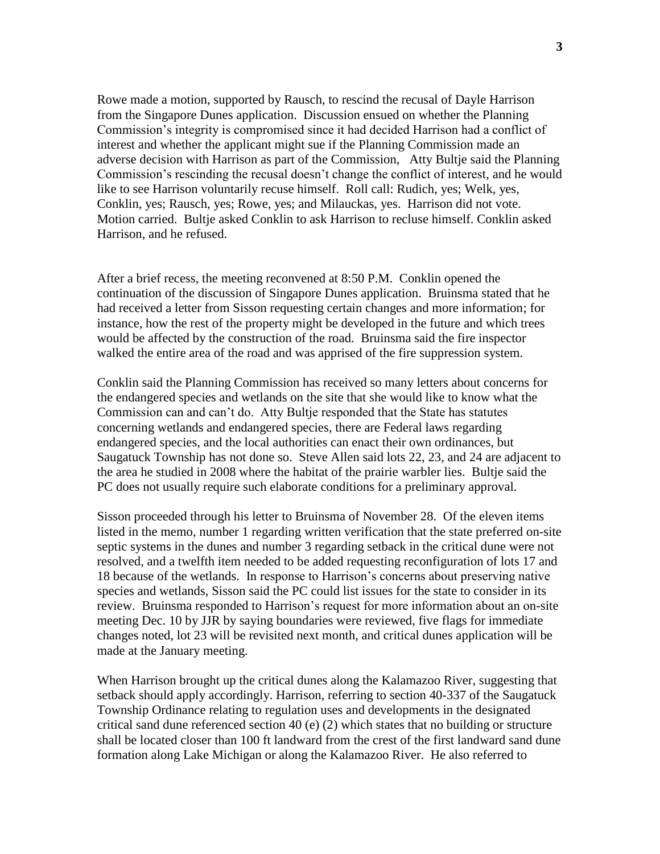Rowe made a motion, supported by Rausch, to rescind the recusal of Dayle Harrison from the Singapore Dunes application. Discussion ensued on whether the Planning Commission's integrity is compromised since it had decided Harrison had a conflict of interest and whether the applicant might sue if the Planning Commission made an adverse decision with Harrison as part of the Commission, Atty Bultje said the Planning Commission's rescinding the recusal doesn't change the conflict of interest, and he would like to see Harrison voluntarily recuse himself. Roll call: Rudich, yes; Welk, yes, Conklin, yes; Rausch, yes; Rowe, yes; and Milauckas, yes. Harrison did not vote. Motion carried. Bultje asked Conklin to ask Harrison to recluse himself. Conklin asked Harrison, and he refused.

After a brief recess, the meeting reconvened at 8:50 P.M. Conklin opened the continuation of the discussion of Singapore Dunes application. Bruinsma stated that he had received a letter from Sisson requesting certain changes and more information; for instance, how the rest of the property might be developed in the future and which trees would be affected by the construction of the road. Bruinsma said the fire inspector walked the entire area of the road and was apprised of the fire suppression system.

Conklin said the Planning Commission has received so many letters about concerns for the endangered species and wetlands on the site that she would like to know what the Commission can and can't do. Atty Bultje responded that the State has statutes concerning wetlands and endangered species, there are Federal laws regarding endangered species, and the local authorities can enact their own ordinances, but Saugatuck Township has not done so. Steve Allen said lots 22, 23, and 24 are adjacent to the area he studied in 2008 where the habitat of the prairie warbler lies. Bultje said the PC does not usually require such elaborate conditions for a preliminary approval.

Sisson proceeded through his letter to Bruinsma of November 28. Of the eleven items listed in the memo, number 1 regarding written verification that the state preferred on-site septic systems in the dunes and number 3 regarding setback in the critical dune were not resolved, and a twelfth item needed to be added requesting reconfiguration of lots 17 and 18 because of the wetlands. In response to Harrison's concerns about preserving native species and wetlands, Sisson said the PC could list issues for the state to consider in its review. Bruinsma responded to Harrison's request for more information about an on-site meeting Dec. 10 by JJR by saying boundaries were reviewed, five flags for immediate changes noted, lot 23 will be revisited next month, and critical dunes application will be made at the January meeting.

When Harrison brought up the critical dunes along the Kalamazoo River, suggesting that setback should apply accordingly. Harrison, referring to section 40-337 of the Saugatuck Township Ordinance relating to regulation uses and developments in the designated critical sand dune referenced section 40 (e) (2) which states that no building or structure shall be located closer than 100 ft landward from the crest of the first landward sand dune formation along Lake Michigan or along the Kalamazoo River. He also referred to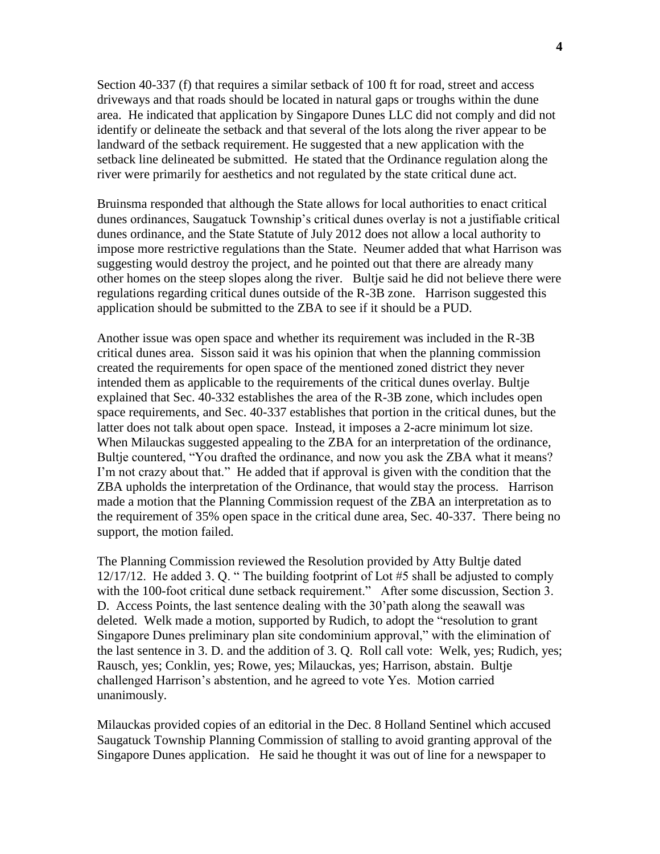Section 40-337 (f) that requires a similar setback of 100 ft for road, street and access driveways and that roads should be located in natural gaps or troughs within the dune area. He indicated that application by Singapore Dunes LLC did not comply and did not identify or delineate the setback and that several of the lots along the river appear to be landward of the setback requirement. He suggested that a new application with the setback line delineated be submitted. He stated that the Ordinance regulation along the river were primarily for aesthetics and not regulated by the state critical dune act.

Bruinsma responded that although the State allows for local authorities to enact critical dunes ordinances, Saugatuck Township's critical dunes overlay is not a justifiable critical dunes ordinance, and the State Statute of July 2012 does not allow a local authority to impose more restrictive regulations than the State. Neumer added that what Harrison was suggesting would destroy the project, and he pointed out that there are already many other homes on the steep slopes along the river. Bultje said he did not believe there were regulations regarding critical dunes outside of the R-3B zone. Harrison suggested this application should be submitted to the ZBA to see if it should be a PUD.

Another issue was open space and whether its requirement was included in the R-3B critical dunes area. Sisson said it was his opinion that when the planning commission created the requirements for open space of the mentioned zoned district they never intended them as applicable to the requirements of the critical dunes overlay. Bultje explained that Sec. 40-332 establishes the area of the R-3B zone, which includes open space requirements, and Sec. 40-337 establishes that portion in the critical dunes, but the latter does not talk about open space. Instead, it imposes a 2-acre minimum lot size. When Milauckas suggested appealing to the ZBA for an interpretation of the ordinance, Bultje countered, "You drafted the ordinance, and now you ask the ZBA what it means? I'm not crazy about that." He added that if approval is given with the condition that the ZBA upholds the interpretation of the Ordinance, that would stay the process. Harrison made a motion that the Planning Commission request of the ZBA an interpretation as to the requirement of 35% open space in the critical dune area, Sec. 40-337. There being no support, the motion failed.

The Planning Commission reviewed the Resolution provided by Atty Bultje dated 12/17/12. He added 3. Q. " The building footprint of Lot #5 shall be adjusted to comply with the 100-foot critical dune setback requirement." After some discussion, Section 3. D. Access Points, the last sentence dealing with the 30'path along the seawall was deleted. Welk made a motion, supported by Rudich, to adopt the "resolution to grant Singapore Dunes preliminary plan site condominium approval," with the elimination of the last sentence in 3. D. and the addition of 3. Q. Roll call vote: Welk, yes; Rudich, yes; Rausch, yes; Conklin, yes; Rowe, yes; Milauckas, yes; Harrison, abstain. Bultje challenged Harrison's abstention, and he agreed to vote Yes. Motion carried unanimously.

Milauckas provided copies of an editorial in the Dec. 8 Holland Sentinel which accused Saugatuck Township Planning Commission of stalling to avoid granting approval of the Singapore Dunes application. He said he thought it was out of line for a newspaper to